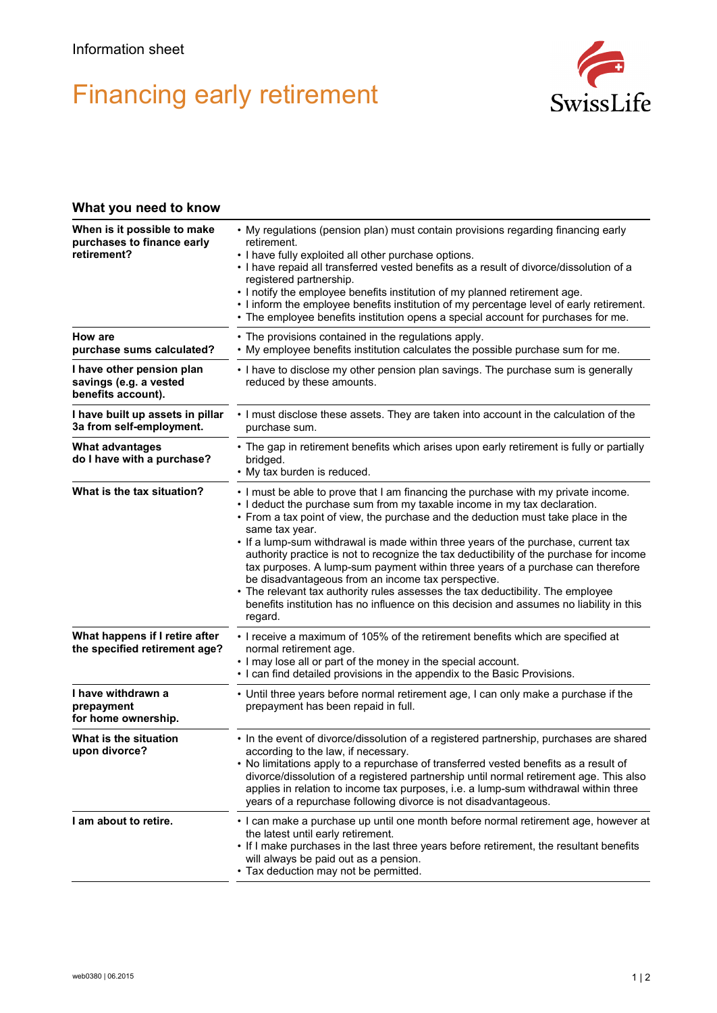## Financing early retirement



## **What you need to know**

| When is it possible to make<br>purchases to finance early<br>retirement?  | • My regulations (pension plan) must contain provisions regarding financing early<br>retirement.<br>• I have fully exploited all other purchase options.<br>. I have repaid all transferred vested benefits as a result of divorce/dissolution of a<br>registered partnership.<br>. I notify the employee benefits institution of my planned retirement age.<br>• I inform the employee benefits institution of my percentage level of early retirement.<br>• The employee benefits institution opens a special account for purchases for me.                                                                                                                                                                                                                                             |
|---------------------------------------------------------------------------|-------------------------------------------------------------------------------------------------------------------------------------------------------------------------------------------------------------------------------------------------------------------------------------------------------------------------------------------------------------------------------------------------------------------------------------------------------------------------------------------------------------------------------------------------------------------------------------------------------------------------------------------------------------------------------------------------------------------------------------------------------------------------------------------|
| How are<br>purchase sums calculated?                                      | • The provisions contained in the regulations apply.<br>. My employee benefits institution calculates the possible purchase sum for me.                                                                                                                                                                                                                                                                                                                                                                                                                                                                                                                                                                                                                                                   |
| I have other pension plan<br>savings (e.g. a vested<br>benefits account). | • I have to disclose my other pension plan savings. The purchase sum is generally<br>reduced by these amounts.                                                                                                                                                                                                                                                                                                                                                                                                                                                                                                                                                                                                                                                                            |
| I have built up assets in pillar<br>3a from self-employment.              | . I must disclose these assets. They are taken into account in the calculation of the<br>purchase sum.                                                                                                                                                                                                                                                                                                                                                                                                                                                                                                                                                                                                                                                                                    |
| <b>What advantages</b><br>do I have with a purchase?                      | • The gap in retirement benefits which arises upon early retirement is fully or partially<br>bridged.<br>• My tax burden is reduced.                                                                                                                                                                                                                                                                                                                                                                                                                                                                                                                                                                                                                                                      |
| What is the tax situation?                                                | . I must be able to prove that I am financing the purchase with my private income.<br>. I deduct the purchase sum from my taxable income in my tax declaration.<br>• From a tax point of view, the purchase and the deduction must take place in the<br>same tax year.<br>. If a lump-sum withdrawal is made within three years of the purchase, current tax<br>authority practice is not to recognize the tax deductibility of the purchase for income<br>tax purposes. A lump-sum payment within three years of a purchase can therefore<br>be disadvantageous from an income tax perspective.<br>• The relevant tax authority rules assesses the tax deductibility. The employee<br>benefits institution has no influence on this decision and assumes no liability in this<br>regard. |
| What happens if I retire after<br>the specified retirement age?           | • I receive a maximum of 105% of the retirement benefits which are specified at<br>normal retirement age.<br>. I may lose all or part of the money in the special account.<br>• I can find detailed provisions in the appendix to the Basic Provisions.                                                                                                                                                                                                                                                                                                                                                                                                                                                                                                                                   |
| I have withdrawn a<br>prepayment<br>for home ownership.                   | • Until three years before normal retirement age, I can only make a purchase if the<br>prepayment has been repaid in full.                                                                                                                                                                                                                                                                                                                                                                                                                                                                                                                                                                                                                                                                |
| What is the situation<br>upon divorce?                                    | • In the event of divorce/dissolution of a registered partnership, purchases are shared<br>according to the law, if necessary.<br>. No limitations apply to a repurchase of transferred vested benefits as a result of<br>divorce/dissolution of a registered partnership until normal retirement age. This also<br>applies in relation to income tax purposes, i.e. a lump-sum withdrawal within three<br>years of a repurchase following divorce is not disadvantageous.                                                                                                                                                                                                                                                                                                                |
| I am about to retire.                                                     | . I can make a purchase up until one month before normal retirement age, however at<br>the latest until early retirement.<br>. If I make purchases in the last three years before retirement, the resultant benefits<br>will always be paid out as a pension.<br>• Tax deduction may not be permitted.                                                                                                                                                                                                                                                                                                                                                                                                                                                                                    |